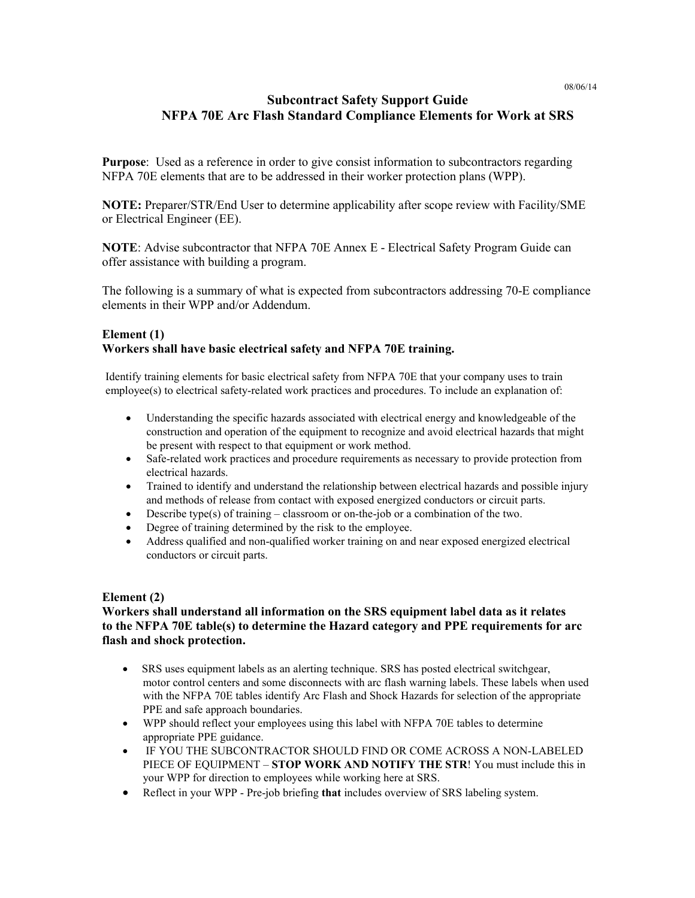# **Subcontract Safety Support Guide NFPA 70E Arc Flash Standard Compliance Elements for Work at SRS**

**Purpose**: Used as a reference in order to give consist information to subcontractors regarding NFPA 70E elements that are to be addressed in their worker protection plans (WPP).

**NOTE:** Preparer/STR/End User to determine applicability after scope review with Facility/SME or Electrical Engineer (EE).

**NOTE**: Advise subcontractor that NFPA 70E Annex E - Electrical Safety Program Guide can offer assistance with building a program.

The following is a summary of what is expected from subcontractors addressing 70-E compliance elements in their WPP and/or Addendum.

## **Element (1) Workers shall have basic electrical safety and NFPA 70E training.**

Identify training elements for basic electrical safety from NFPA 70E that your company uses to train employee(s) to electrical safety-related work practices and procedures. To include an explanation of:

- Understanding the specific hazards associated with electrical energy and knowledgeable of the construction and operation of the equipment to recognize and avoid electrical hazards that might be present with respect to that equipment or work method.
- Safe-related work practices and procedure requirements as necessary to provide protection from electrical hazards.
- Trained to identify and understand the relationship between electrical hazards and possible injury and methods of release from contact with exposed energized conductors or circuit parts.
- $\bullet$  Describe type(s) of training classroom or on-the-job or a combination of the two.
- Degree of training determined by the risk to the employee.
- Address qualified and non-qualified worker training on and near exposed energized electrical conductors or circuit parts.

## **Element (2)**

## **Workers shall understand all information on the SRS equipment label data as it relates to the NFPA 70E table(s) to determine the Hazard category and PPE requirements for arc flash and shock protection.**

- SRS uses equipment labels as an alerting technique. SRS has posted electrical switchgear, motor control centers and some disconnects with arc flash warning labels. These labels when used with the NFPA 70E tables identify Arc Flash and Shock Hazards for selection of the appropriate PPE and safe approach boundaries.
- WPP should reflect your employees using this label with NFPA 70E tables to determine appropriate PPE guidance.
- IF YOU THE SUBCONTRACTOR SHOULD FIND OR COME ACROSS A NON-LABELED PIECE OF EQUIPMENT – **STOP WORK AND NOTIFY THE STR**! You must include this in your WPP for direction to employees while working here at SRS.
- Reflect in your WPP Pre-job briefing **that** includes overview of SRS labeling system.